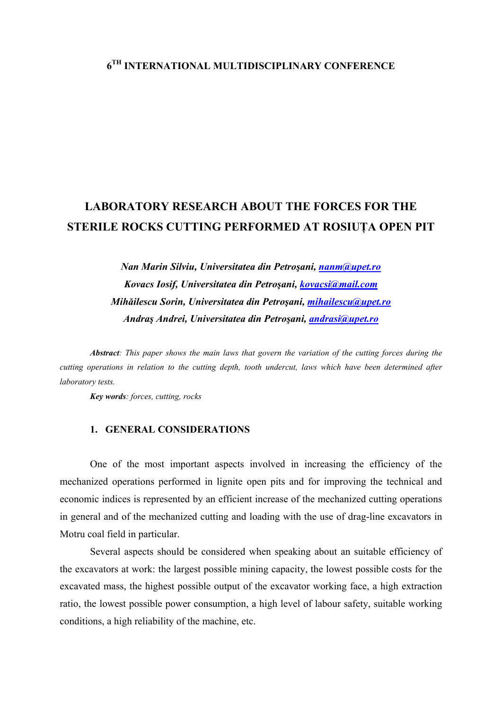## **6TH INTERNATIONAL MULTIDISCIPLINARY CONFERENCE**

# **LABORATORY RESEARCH ABOUT THE FORCES FOR THE STERILE ROCKS CUTTING PERFORMED AT ROSIUŢA OPEN PIT**

*Nan Marin Silviu, Universitatea din Petroşani, [nanm@upet.ro](mailto:nanm@upet.ro) Kovacs Iosif, Universitatea din Petroşani, [kovacsi@mail.com](mailto:kovacsi@mail.com) Mihăilescu Sorin, Universitatea din Petroşani, [mihailescu@upet.ro](mailto:mihailescu@upet.ro) Andraş Andrei, Universitatea din Petroşani, [andrasi@upet.ro](mailto:andrasi@upet.ro)*

*Abstract: This paper shows the main laws that govern the variation of the cutting forces during the cutting operations in relation to the cutting depth, tooth undercut, laws which have been determined after laboratory tests.* 

*Key words: forces, cutting, rocks* 

### **1. GENERAL CONSIDERATIONS**

One of the most important aspects involved in increasing the efficiency of the mechanized operations performed in lignite open pits and for improving the technical and economic indices is represented by an efficient increase of the mechanized cutting operations in general and of the mechanized cutting and loading with the use of drag-line excavators in Motru coal field in particular.

 Several aspects should be considered when speaking about an suitable efficiency of the excavators at work: the largest possible mining capacity, the lowest possible costs for the excavated mass, the highest possible output of the excavator working face, a high extraction ratio, the lowest possible power consumption, a high level of labour safety, suitable working conditions, a high reliability of the machine, etc.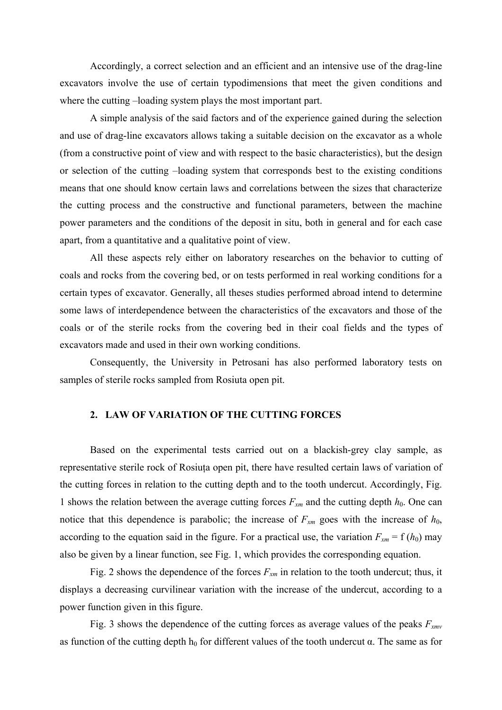Accordingly, a correct selection and an efficient and an intensive use of the drag-line excavators involve the use of certain typodimensions that meet the given conditions and where the cutting –loading system plays the most important part.

 A simple analysis of the said factors and of the experience gained during the selection and use of drag-line excavators allows taking a suitable decision on the excavator as a whole (from a constructive point of view and with respect to the basic characteristics), but the design or selection of the cutting –loading system that corresponds best to the existing conditions means that one should know certain laws and correlations between the sizes that characterize the cutting process and the constructive and functional parameters, between the machine power parameters and the conditions of the deposit in situ, both in general and for each case apart, from a quantitative and a qualitative point of view.

All these aspects rely either on laboratory researches on the behavior to cutting of coals and rocks from the covering bed, or on tests performed in real working conditions for a certain types of excavator. Generally, all theses studies performed abroad intend to determine some laws of interdependence between the characteristics of the excavators and those of the coals or of the sterile rocks from the covering bed in their coal fields and the types of excavators made and used in their own working conditions.

 Consequently, the University in Petrosani has also performed laboratory tests on samples of sterile rocks sampled from Rosiuta open pit.

### **2. LAW OF VARIATION OF THE CUTTING FORCES**

Based on the experimental tests carried out on a blackish-grey clay sample, as representative sterile rock of Rosiuţa open pit, there have resulted certain laws of variation of the cutting forces in relation to the cutting depth and to the tooth undercut. Accordingly, Fig. 1 shows the relation between the average cutting forces  $F_{xm}$  and the cutting depth  $h_0$ . One can notice that this dependence is parabolic; the increase of  $F_{xm}$  goes with the increase of  $h_0$ , according to the equation said in the figure. For a practical use, the variation  $F_{xm} = f(h_0)$  may also be given by a linear function, see Fig. 1, which provides the corresponding equation.

Fig. 2 shows the dependence of the forces  $F_{xm}$  in relation to the tooth undercut; thus, it displays a decreasing curvilinear variation with the increase of the undercut, according to a power function given in this figure.

Fig. 3 shows the dependence of the cutting forces as average values of the peaks *Fxmv* as function of the cutting depth  $h_0$  for different values of the tooth undercut  $\alpha$ . The same as for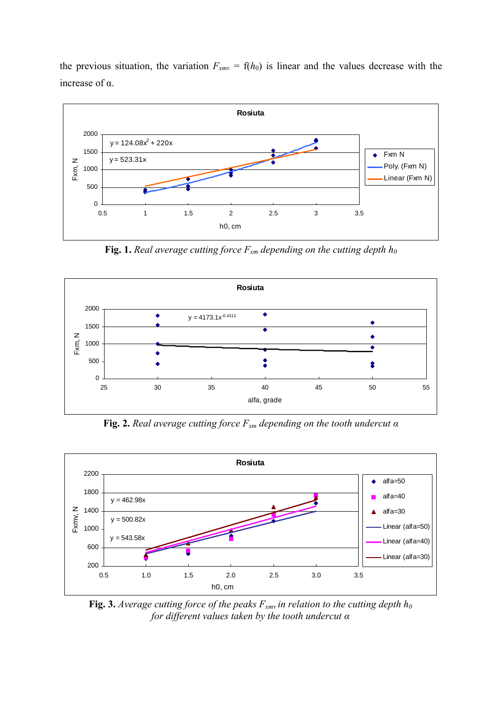the previous situation, the variation  $F_{xmv} = f(h_0)$  is linear and the values decrease with the increase of α.



**Fig. 1.** *Real average cutting force*  $F_{xm}$  *depending on the cutting depth*  $h_0$ 



**Fig. 2.** *Real average cutting force Fxm depending on the tooth undercut α*



**Fig. 3.** *Average cutting force of the peaks*  $F_{xmv}$  *in relation to the cutting depth*  $h_0$ *for different values taken by the tooth undercut α*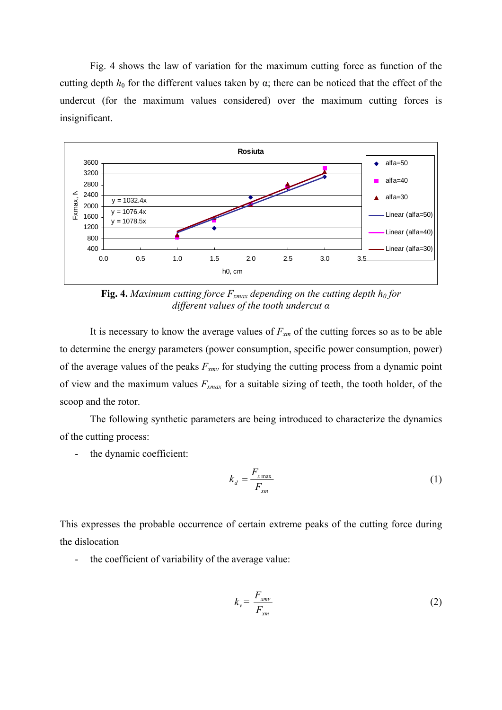Fig. 4 shows the law of variation for the maximum cutting force as function of the cutting depth  $h_0$  for the different values taken by  $\alpha$ ; there can be noticed that the effect of the undercut (for the maximum values considered) over the maximum cutting forces is insignificant.



**Fig. 4.** *Maximum cutting force*  $F_{xmax}$  *depending on the cutting depth*  $h_0$  *for different values of the tooth undercut α*

It is necessary to know the average values of  $F_{xm}$  of the cutting forces so as to be able to determine the energy parameters (power consumption, specific power consumption, power) of the average values of the peaks *Fxmv* for studying the cutting process from a dynamic point of view and the maximum values *Fxmax* for a suitable sizing of teeth, the tooth holder, of the scoop and the rotor.

The following synthetic parameters are being introduced to characterize the dynamics of the cutting process:

- the dynamic coefficient:

$$
k_d = \frac{F_{x_{\text{max}}}}{F_{x_m}}
$$
 (1)

This expresses the probable occurrence of certain extreme peaks of the cutting force during the dislocation

- the coefficient of variability of the average value:

$$
k_v = \frac{F_{xmv}}{F_{xm}}
$$
 (2)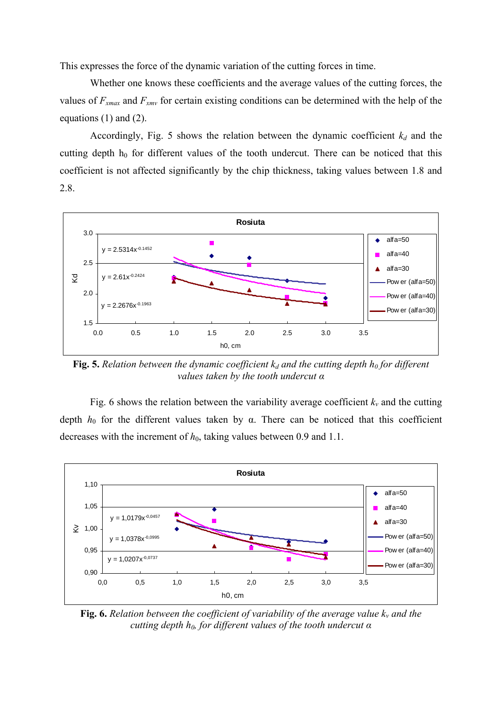This expresses the force of the dynamic variation of the cutting forces in time.

Whether one knows these coefficients and the average values of the cutting forces, the values of *Fxmax* and *Fxmv* for certain existing conditions can be determined with the help of the equations (1) and (2).

Accordingly, Fig. 5 shows the relation between the dynamic coefficient  $k_d$  and the cutting depth  $h_0$  for different values of the tooth undercut. There can be noticed that this coefficient is not affected significantly by the chip thickness, taking values between 1.8 and 2.8.



**Fig. 5.** *Relation between the dynamic coefficient*  $k_d$  and the cutting depth  $h_0$  for different *values taken by the tooth undercut α*

Fig. 6 shows the relation between the variability average coefficient  $k<sub>v</sub>$  and the cutting depth  $h_0$  for the different values taken by  $\alpha$ . There can be noticed that this coefficient decreases with the increment of  $h_0$ , taking values between 0.9 and 1.1.



**Fig. 6.** *Relation between the coefficient of variability of the average value*  $k_v$  *and the cutting depth h<sub>0</sub>, for different values of the tooth undercut α*